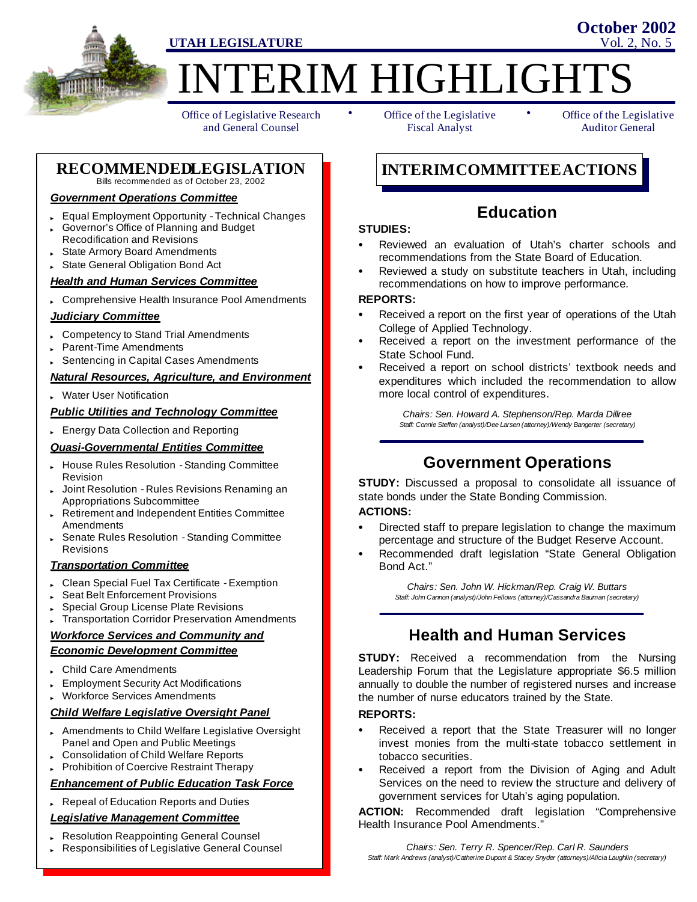

**TERIM HIGHLIGHTS** 

Office of Legislative Research and General Counsel

• Office of the Legislative • Fiscal Analyst

Office of the Legislative Auditor General

**October 2002**

#### **RECOMMENDEDLEGISLATION** Bills recommended as of October 23, 2002

### *Government Operations Committee*

- Equal Employment Opportunity Technical Changes
- Governor's Office of Planning and Budget Recodification and Revisions
- State Armory Board Amendments
- State General Obligation Bond Act

## *Health and Human Services Committee*

Comprehensive Health Insurance Pool Amendments

### *Judiciary Committee*

- **Competency to Stand Trial Amendments**
- Parent-Time Amendments
- Sentencing in Capital Cases Amendments

### *Natural Resources, Agriculture, and Environment*

**Water User Notification** 

### *Public Utilities and Technology Committee*

**Energy Data Collection and Reporting** 

#### *Quasi-Governmental Entities Committee*

- House Rules Resolution Standing Committee Revision
- Joint Resolution Rules Revisions Renaming an Appropriations Subcommittee
- Retirement and Independent Entities Committee **Amendments**
- Senate Rules Resolution Standing Committee Revisions

### *Transportation Committee*

- " Clean Special Fuel Tax Certificate Exemption
- Seat Belt Enforcement Provisions
- Special Group License Plate Revisions
- **Transportation Corridor Preservation Amendments**

### *Workforce Services and Community and Economic Development Committee*

- **Child Care Amendments**
- **Employment Security Act Modifications**
- Workforce Services Amendments

### *Child Welfare Legislative Oversight Panel*

- Amendments to Child Welfare Legislative Oversight Panel and Open and Public Meetings
- Consolidation of Child Welfare Reports
- Prohibition of Coercive Restraint Therapy

## *Enhancement of Public Education Task Force*

Repeal of Education Reports and Duties

### *Legislative Management Committee*

- Resolution Reappointing General Counsel
- Responsibilities of Legislative General Counsel

**INTERIMCOMMITTEEACTIONS**

## **Education**

### **STUDIES:**

- S Reviewed an evaluation of Utah's charter schools and recommendations from the State Board of Education.
- Reviewed a study on substitute teachers in Utah, including recommendations on how to improve performance.

### **REPORTS:**

- Received a report on the first year of operations of the Utah College of Applied Technology.
- Received a report on the investment performance of the State School Fund.
- Received a report on school districts' textbook needs and expenditures which included the recommendation to allow more local control of expenditures.

*Chairs: Sen. Howard A. Stephenson/Rep. Marda Dillree Staff: Connie Steffen (analyst)/Dee Larsen (attorney)/Wendy Bangerter (secretary)*

## **Government Operations**

**STUDY:** Discussed a proposal to consolidate all issuance of state bonds under the State Bonding Commission.

### **ACTIONS:**

- Directed staff to prepare legislation to change the maximum percentage and structure of the Budget Reserve Account.
- Recommended draft legislation "State General Obligation Bond Act."

*Chairs: Sen. John W. Hickman/Rep. Craig W. Buttars Staff: John Cannon (analyst)/John Fellows (attorney)/Cassandra Bauman (secretary)*

## **Health and Human Services**

**STUDY:** Received a recommendation from the Nursing Leadership Forum that the Legislature appropriate \$6.5 million annually to double the number of registered nurses and increase the number of nurse educators trained by the State.

### **REPORTS:**

- Received a report that the State Treasurer will no longer invest monies from the multi-state tobacco settlement in tobacco securities.
- Received a report from the Division of Aging and Adult Services on the need to review the structure and delivery of government services for Utah's aging population.

**ACTION:** Recommended draft legislation "Comprehensive Health Insurance Pool Amendments."

*Chairs: Sen. Terry R. Spencer/Rep. Carl R. Saunders Staff: Mark Andrews (analyst)/Catherine Dupont & Stacey Snyder (attorneys)/Alicia Laughlin (secretary)*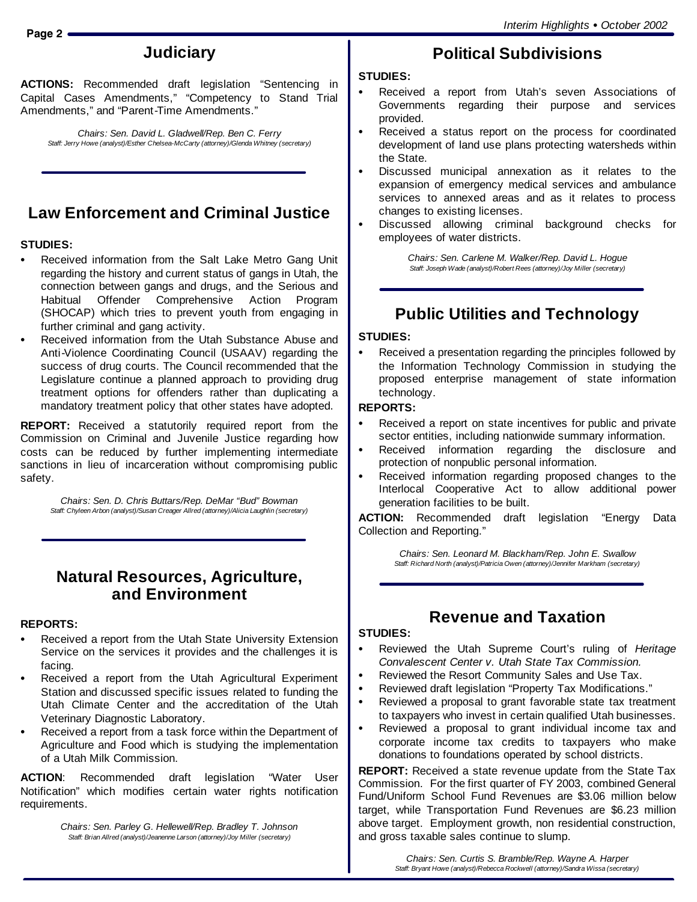# **Judiciary**

**ACTIONS:** Recommended draft legislation "Sentencing in Capital Cases Amendments," "Competency to Stand Trial Amendments," and "Parent-Time Amendments."

*Chairs: Sen. David L. Gladwell/Rep. Ben C. Ferry Staff: Jerry Howe (analyst)/Esther Chelsea-McCarty (attorney)/Glenda Whitney (secretary)*

# **Law Enforcement and Criminal Justice**

## **STUDIES:**

- Received information from the Salt Lake Metro Gang Unit regarding the history and current status of gangs in Utah, the connection between gangs and drugs, and the Serious and Habitual Offender Comprehensive Action Program (SHOCAP) which tries to prevent youth from engaging in further criminal and gang activity.
- Received information from the Utah Substance Abuse and Anti-Violence Coordinating Council (USAAV) regarding the success of drug courts. The Council recommended that the Legislature continue a planned approach to providing drug treatment options for offenders rather than duplicating a mandatory treatment policy that other states have adopted.

**REPORT:** Received a statutorily required report from the Commission on Criminal and Juvenile Justice regarding how costs can be reduced by further implementing intermediate sanctions in lieu of incarceration without compromising public safety.

*Chairs: Sen. D. Chris Buttars/Rep. DeMar "Bud" Bowman Staff: Chyleen Arbon (analyst)/Susan Creager Allred (attorney)/Alicia Laughlin (secretary)*

## **Natural Resources, Agriculture, and Environment**

## **REPORTS:**

- Received a report from the Utah State University Extension Service on the services it provides and the challenges it is facing.
- Received a report from the Utah Agricultural Experiment Station and discussed specific issues related to funding the Utah Climate Center and the accreditation of the Utah Veterinary Diagnostic Laboratory.
- Received a report from a task force within the Department of Agriculture and Food which is studying the implementation of a Utah Milk Commission.

**ACTION**: Recommended draft legislation "Water User Notification" which modifies certain water rights notification requirements.

> *Chairs: Sen. Parley G. Hellewell/Rep. Bradley T. Johnson Staff: Brian Allred (analyst)/Jeanenne Larson (attorney)/Joy Miller (secretary)*

# **Political Subdivisions**

## **STUDIES:**

- Received a report from Utah's seven Associations of Governments regarding their purpose and services provided.
- Received a status report on the process for coordinated development of land use plans protecting watersheds within the State.
- Discussed municipal annexation as it relates to the expansion of emergency medical services and ambulance services to annexed areas and as it relates to process changes to existing licenses.
- Discussed allowing criminal background checks for employees of water districts.

*Chairs: Sen. Carlene M. Walker/Rep. David L. Hogue Staff: Joseph Wade (analyst)/Robert Rees (attorney)/Joy Miller (secretary)*

# **Public Utilities and Technology**

## **STUDIES:**

Received a presentation regarding the principles followed by the Information Technology Commission in studying the proposed enterprise management of state information technology.

## **REPORTS:**

- Received a report on state incentives for public and private sector entities, including nationwide summary information.
- Received information regarding the disclosure and protection of nonpublic personal information.
- Received information regarding proposed changes to the Interlocal Cooperative Act to allow additional power generation facilities to be built.

**ACTION:** Recommended draft legislation "Energy Data Collection and Reporting."

> *Chairs: Sen. Leonard M. Blackham/Rep. John E. Swallow Staff: Richard North (analyst)/Patricia Owen (attorney)/Jennifer Markham (secretary)*

# **Revenue and Taxation**

## **STUDIES:**

- Reviewed the Utah Supreme Court's ruling of *Heritage Convalescent Center v. Utah State Tax Commission.*
- Reviewed the Resort Community Sales and Use Tax.
- Reviewed draft legislation "Property Tax Modifications."
- Reviewed a proposal to grant favorable state tax treatment to taxpayers who invest in certain qualified Utah businesses.
- Reviewed a proposal to grant individual income tax and corporate income tax credits to taxpayers who make donations to foundations operated by school districts.

**REPORT:** Received a state revenue update from the State Tax Commission. For the first quarter of FY 2003, combined General Fund/Uniform School Fund Revenues are \$3.06 million below target, while Transportation Fund Revenues are \$6.23 million above target. Employment growth, non residential construction, and gross taxable sales continue to slump.

> *Chairs: Sen. Curtis S. Bramble/Rep. Wayne A. Harper Staff: Bryant Howe (analyst)/Rebecca Rockwell (attorney)/Sandra Wissa (secretary)*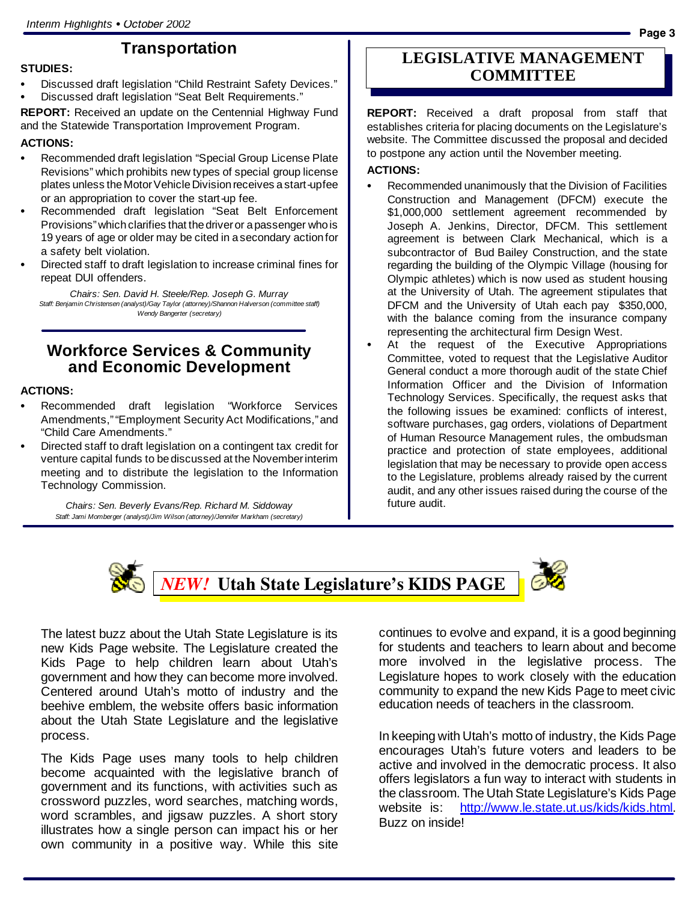## **Transportation**

#### **STUDIES:**

- Discussed draft legislation "Child Restraint Safety Devices."
- Discussed draft legislation "Seat Belt Requirements."

**REPORT:** Received an update on the Centennial Highway Fund and the Statewide Transportation Improvement Program.

### **ACTIONS:**

- Recommended draft legislation "Special Group License Plate Revisions" which prohibits new types of special group license plates unless the Motor Vehicle Division receives a start-upfee or an appropriation to cover the start-up fee.
- Recommended draft legislation "Seat Belt Enforcement Provisions" which clarifies that the driver or a passenger who is 19 years of age or older may be cited in asecondary actionfor a safety belt violation.
- Directed staff to draft legislation to increase criminal fines for repeat DUI offenders.

*Chairs: Sen. David H. Steele/Rep. Joseph G. Murray Staff: Benjamin Christensen (analyst)/Gay Taylor (attorney)/Shannon Halverson (committee staff) Wendy Bangerter (secretary)*

## **Workforce Services & Community and Economic Development**

## **ACTIONS:**

- Recommended draft legislation "Workforce Services Amendments,""Employment Security Act Modifications,"and "Child Care Amendments."
- Directed staff to draft legislation on a contingent tax credit for venture capital funds to bediscussed at the Novemberinterim meeting and to distribute the legislation to the Information Technology Commission.

*Chairs: Sen. Beverly Evans/Rep. Richard M. Siddoway Staff: Jami Momberger (analyst)/Jim Wilson (attorney)/Jennifer Markham (secretary)*

## **LEGISLATIVE MANAGEMENT COMMITTEE**

**REPORT:** Received a draft proposal from staff that establishes criteria for placing documents on the Legislature's website. The Committee discussed the proposal and decided to postpone any action until the November meeting.

### **ACTIONS:**

- Recommended unanimously that the Division of Facilities Construction and Management (DFCM) execute the \$1,000,000 settlement agreement recommended by Joseph A. Jenkins, Director, DFCM. This settlement agreement is between Clark Mechanical, which is a subcontractor of Bud Bailey Construction, and the state regarding the building of the Olympic Village (housing for Olympic athletes) which is now used as student housing at the University of Utah. The agreement stipulates that DFCM and the University of Utah each pay \$350,000, with the balance coming from the insurance company representing the architectural firm Design West.
- At the request of the Executive Appropriations Committee, voted to request that the Legislative Auditor General conduct a more thorough audit of the state Chief Information Officer and the Division of Information Technology Services. Specifically, the request asks that the following issues be examined: conflicts of interest, software purchases, gag orders, violations of Department of Human Resource Management rules, the ombudsman practice and protection of state employees, additional legislation that may be necessary to provide open access to the Legislature, problems already raised by the current audit, and any other issues raised during the course of the future audit.



*NEW!* **Utah State Legislature's KIDS PAGE**



The latest buzz about the Utah State Legislature is its new Kids Page website. The Legislature created the Kids Page to help children learn about Utah's government and how they can become more involved. Centered around Utah's motto of industry and the beehive emblem, the website offers basic information about the Utah State Legislature and the legislative process.

The Kids Page uses many tools to help children become acquainted with the legislative branch of government and its functions, with activities such as crossword puzzles, word searches, matching words, word scrambles, and jigsaw puzzles. A short story illustrates how a single person can impact his or her own community in a positive way. While this site

continues to evolve and expand, it is a good beginning for students and teachers to learn about and become more involved in the legislative process. The Legislature hopes to work closely with the education community to expand the new Kids Page to meet civic education needs of teachers in the classroom.

In keeping with Utah's motto of industry, the Kids Page encourages Utah's future voters and leaders to be active and involved in the democratic process. It also offers legislators a fun way to interact with students in the classroom. The Utah State Legislature's Kids Page website is: http://www.le.state.ut.us/kids/kids.html. Buzz on inside!